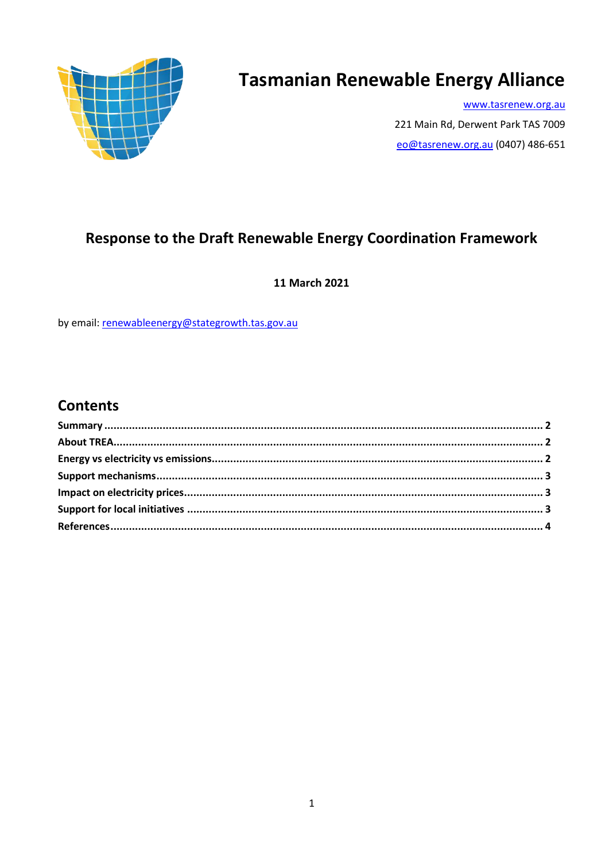

# **Tasmanian Renewable Energy Alliance**

www.tasrenew.org.au 221 Main Rd, Derwent Park TAS 7009 eo@tasrenew.org.au (0407) 486-651

# Response to the Draft Renewable Energy Coordination Framework

11 March 2021

by email: renewableenergy@stategrowth.tas.gov.au

## **Contents**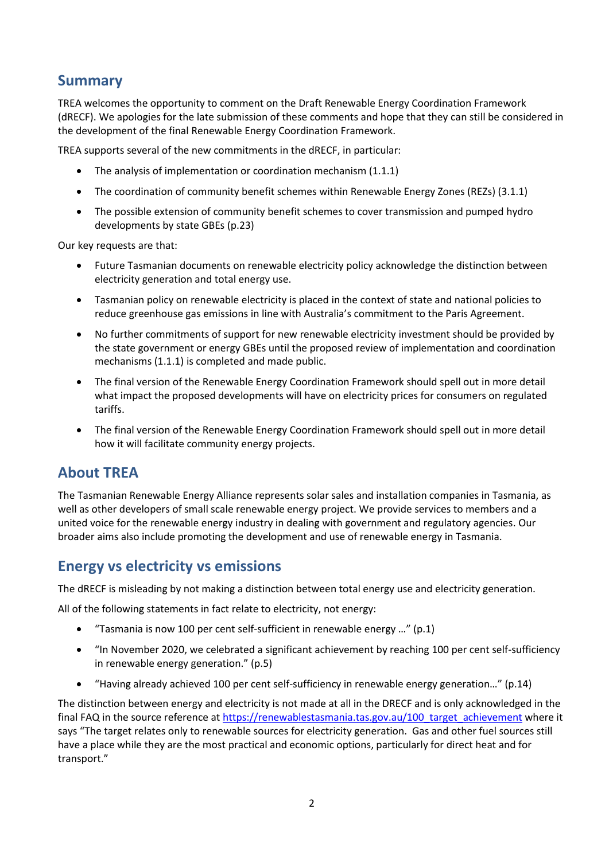#### **Summary**

TREA welcomes the opportunity to comment on the Draft Renewable Energy Coordination Framework (dRECF). We apologies for the late submission of these comments and hope that they can still be considered in the development of the final Renewable Energy Coordination Framework.

TREA supports several of the new commitments in the dRECF, in particular:

- The analysis of implementation or coordination mechanism (1.1.1)
- The coordination of community benefit schemes within Renewable Energy Zones (REZs) (3.1.1)
- The possible extension of community benefit schemes to cover transmission and pumped hydro developments by state GBEs (p.23)

Our key requests are that:

- Future Tasmanian documents on renewable electricity policy acknowledge the distinction between electricity generation and total energy use.
- Tasmanian policy on renewable electricity is placed in the context of state and national policies to reduce greenhouse gas emissions in line with Australia's commitment to the Paris Agreement.
- No further commitments of support for new renewable electricity investment should be provided by the state government or energy GBEs until the proposed review of implementation and coordination mechanisms (1.1.1) is completed and made public.
- The final version of the Renewable Energy Coordination Framework should spell out in more detail what impact the proposed developments will have on electricity prices for consumers on regulated tariffs.
- The final version of the Renewable Energy Coordination Framework should spell out in more detail how it will facilitate community energy projects.

#### **About TREA**

The Tasmanian Renewable Energy Alliance represents solar sales and installation companies in Tasmania, as well as other developers of small scale renewable energy project. We provide services to members and a united voice for the renewable energy industry in dealing with government and regulatory agencies. Our broader aims also include promoting the development and use of renewable energy in Tasmania.

#### **Energy vs electricity vs emissions**

The dRECF is misleading by not making a distinction between total energy use and electricity generation.

All of the following statements in fact relate to electricity, not energy:

- "Tasmania is now 100 per cent self-sufficient in renewable energy …" (p.1)
- "In November 2020, we celebrated a significant achievement by reaching 100 per cent self-sufficiency in renewable energy generation." (p.5)
- "Having already achieved 100 per cent self-sufficiency in renewable energy generation…" (p.14)

The distinction between energy and electricity is not made at all in the DRECF and is only acknowledged in the final FAQ in the source reference at [https://renewablestasmania.tas.gov.au/100\\_target\\_achievement](https://renewablestasmania.tas.gov.au/100_target_achievement) where it says "The target relates only to renewable sources for electricity generation. Gas and other fuel sources still have a place while they are the most practical and economic options, particularly for direct heat and for transport."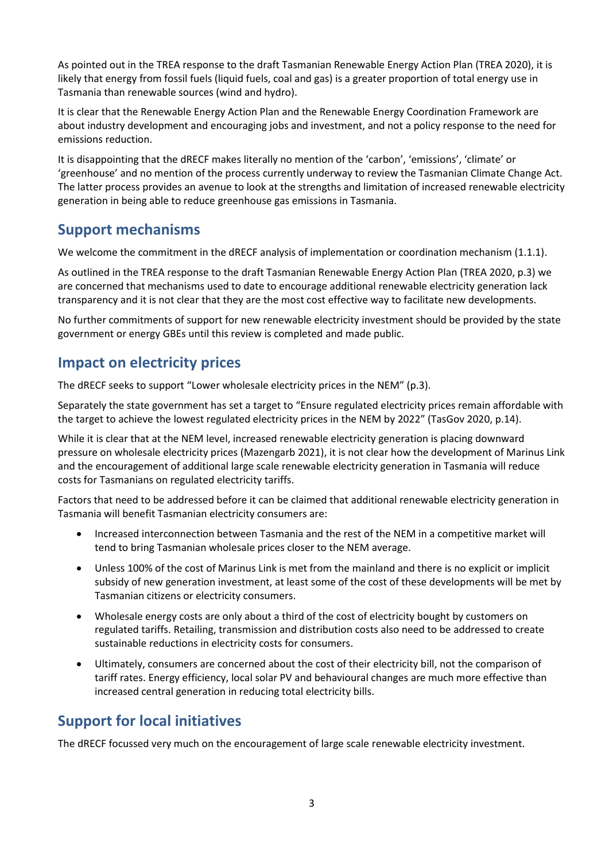As pointed out in the TREA response to the draft Tasmanian Renewable Energy Action Plan (TREA 2020), it is likely that energy from fossil fuels (liquid fuels, coal and gas) is a greater proportion of total energy use in Tasmania than renewable sources (wind and hydro).

It is clear that the Renewable Energy Action Plan and the Renewable Energy Coordination Framework are about industry development and encouraging jobs and investment, and not a policy response to the need for emissions reduction.

It is disappointing that the dRECF makes literally no mention of the 'carbon', 'emissions', 'climate' or 'greenhouse' and no mention of the process currently underway to review the Tasmanian Climate Change Act. The latter process provides an avenue to look at the strengths and limitation of increased renewable electricity generation in being able to reduce greenhouse gas emissions in Tasmania.

#### **Support mechanisms**

We welcome the commitment in the dRECF analysis of implementation or coordination mechanism (1.1.1).

As outlined in the TREA response to the draft Tasmanian Renewable Energy Action Plan (TREA 2020, p.3) we are concerned that mechanisms used to date to encourage additional renewable electricity generation lack transparency and it is not clear that they are the most cost effective way to facilitate new developments.

No further commitments of support for new renewable electricity investment should be provided by the state government or energy GBEs until this review is completed and made public.

# **Impact on electricity prices**

The dRECF seeks to support "Lower wholesale electricity prices in the NEM" (p.3).

Separately the state government has set a target to "Ensure regulated electricity prices remain affordable with the target to achieve the lowest regulated electricity prices in the NEM by 2022" (TasGov 2020, p.14).

While it is clear that at the NEM level, increased renewable electricity generation is placing downward pressure on wholesale electricity prices (Mazengarb 2021), it is not clear how the development of Marinus Link and the encouragement of additional large scale renewable electricity generation in Tasmania will reduce costs for Tasmanians on regulated electricity tariffs.

Factors that need to be addressed before it can be claimed that additional renewable electricity generation in Tasmania will benefit Tasmanian electricity consumers are:

- Increased interconnection between Tasmania and the rest of the NEM in a competitive market will tend to bring Tasmanian wholesale prices closer to the NEM average.
- Unless 100% of the cost of Marinus Link is met from the mainland and there is no explicit or implicit subsidy of new generation investment, at least some of the cost of these developments will be met by Tasmanian citizens or electricity consumers.
- Wholesale energy costs are only about a third of the cost of electricity bought by customers on regulated tariffs. Retailing, transmission and distribution costs also need to be addressed to create sustainable reductions in electricity costs for consumers.
- Ultimately, consumers are concerned about the cost of their electricity bill, not the comparison of tariff rates. Energy efficiency, local solar PV and behavioural changes are much more effective than increased central generation in reducing total electricity bills.

## **Support for local initiatives**

The dRECF focussed very much on the encouragement of large scale renewable electricity investment.